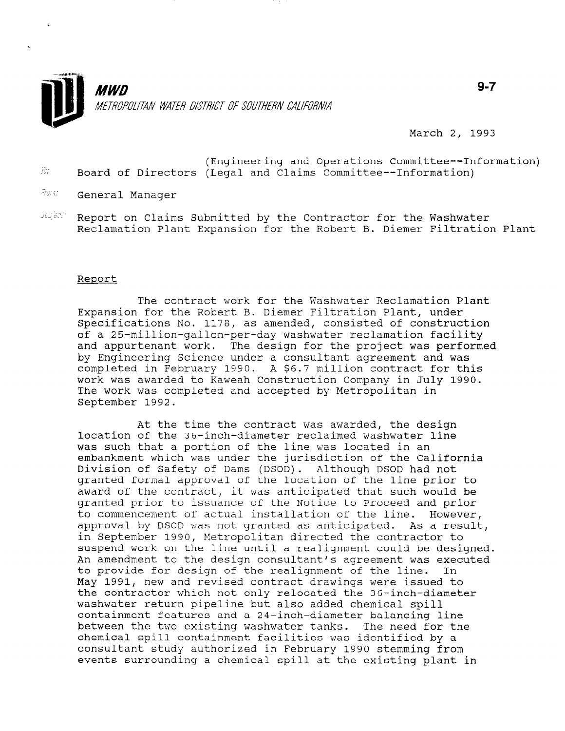

March 2, 1993

- (Engineering and Operations Committee--Information)  $\hat{h}$ : Board of Directors (Legal and Claims Committee--Information)
- **Form:** General Manager
- Inter . Report on Claims Submitted by the Contractor for the Washwater Reclamation Plant Expansion for the Robert B. Diemer Filtration Plant

## Report

The contract work for the Washwater Reclamation Plant Expansion for the Robert B. Diemer Filtration Plant, under Specifications No. 1178, as amended, consisted of construction of a 25-million-gallon-per-day washwater reclamation facility and appurtenant work. The design for the project was performed by Engineering Science under a consultant agreement and was completed in February 1990. A \$6.7 million contract for this work was awarded to Kaweah Construction Company in July 1990. The work was completed and accepted by Metropolitan in September 1992.

At the time the contract was awarded, the design location of the 36-inch-diameter reclaimed washwater line was such that a portion of the line was located in an embankment which was under the jurisdiction of the California Division of Safety of Dams (DSOD). Although DSOD had not granted formal approval of the location of the line prior to award of the contract, it was anticipated that such would be granted prior to issuance of the Notice to Proceed and prior to commencement of actual installation of the line. However, approval by DSOD was not granted as anticipated. As a result, in September 1990, Metropolitan directed the contractor to suspend work on the line until a realignment could be designed. An amendment to the design consultant's agreement was executed to provide for design of the realignment of the line. In May 1991, new and revised contract drawings were issued to the contractor which not only relocated the 36-inch-diameter  $\frac{1}{2}$  was however return pipeline but also added chemical spiller. washwater featur bibernie but also added chemical spili containment features and a 24-inch-diameter balancing line between the two existing washwater tanks. The need for the chemical spill containment facilities was identified by a consultant study authorized in February 1990 stemming from<br>events surrounding a chemical spill at the existing plant in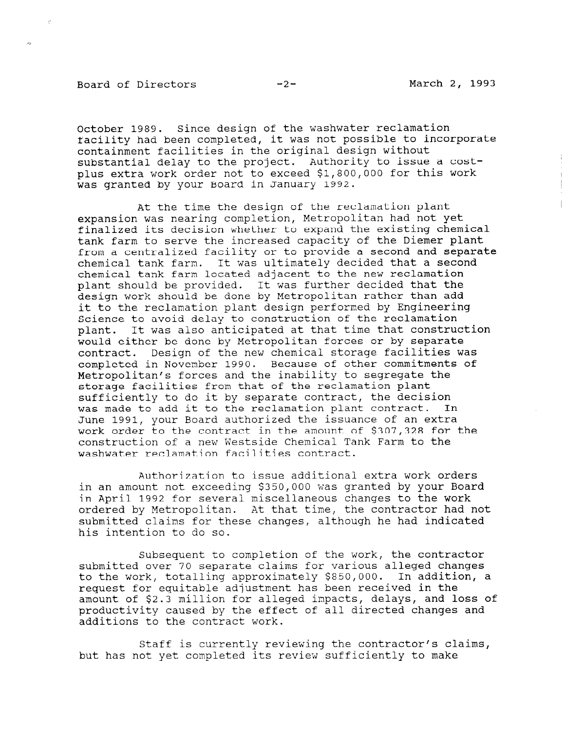## Board of Directors -2- March 2, 1993

 $\begin{array}{c} 1 \\ 1 \\ 1 \end{array}$ 

October 1989. Since design of the washwater reclamation facility had been completed, it was not possible to incorporate containment facilities in the original design without substantial delay to the project. Authority to issue a costplus extra work order not to exceed \$1,800,000 for this work was granted by your Board in January 1992.

At the time the design of the reclamation plant expansion was nearing completion, Metropolitan had not yet finalized its decision whether to expand the existing chemical tank farm to serve the increased capacity of the Diemer plant from a centralized facility or to provide a second and separate chemical tank farm. It was ultimately decided that a second chemical tank farm located adjacent to the new reclamation plant should be provided. It was further decided that the design work should be done by Metropolitan rather than add it to the reclamation plant design performed by Engineering Science to avoid delay to construction of the reclamation plant. It was also anticipated at that time that construction would either be done by Metropolitan forces or by separate contract. Design of the new chemical storage facilities was completed in November 1990. Because of other commitments of Metropolitan's forces and the inability to segregate the storage facilities from that of the reclamation plant sufficiently to do it by separate contract, the decision was made to add it to the reclamation plant contract. In June 1991, your Board authorized the issuance of an extra work order to the contract in the amount of \$307,328 for the construction of a new Westside Chemical Tank Farm to the washwater reclamation facilities contract.

Authorization to issue additional extra work orders in an amount not exceeding \$350,000 was granted by your Board in April 1992 for several miscellaneous changes to the work ordered by Metropolitan. At that time, the contractor had not submitted claims for these changes, although he had indicated his intention to do so.

Subsequent to completion of the work, the contractor submitted over 70 separate claims for various alleged changes to the work, totalling approximately \$850,000. In addition, a request for equitable adjustment has been received in the  $\alpha$  and  $\alpha$  and  $\alpha$  is the  $\alpha$  for alleged impact  $\alpha$  alleged in the loss of amount of  $\frac{1}{2}$  is much directed contracted changes and  $\frac{1}{2}$  directed changes and productivity caused by the effect of all directed changes and additions to the contract work.

 $\mathcal{S}$  is contractor the contractor  $\mathcal{S}$  is contractor contractor contractors contractors contractor contractors contractors contractors contractors contractors contractors of  $\mathcal{S}$ but its currently reviewing the contractor's cl